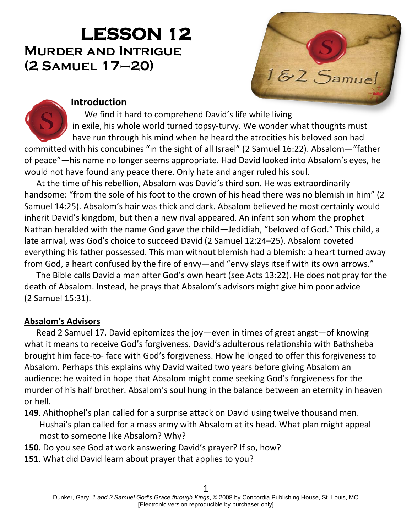# **LESSON 12 Murder and Intrigue (2 Samuel 17–20)**



### **Introduction**

We find it hard to comprehend David's life while living in exile, his whole world turned topsy-turvy. We wonder what thoughts must have run through his mind when he heard the atrocities his beloved son had committed with his concubines "in the sight of all Israel" (2 Samuel 16:22). Absalom—"father of peace"—his name no longer seems appropriate. Had David looked into Absalom's eyes, he would not have found any peace there. Only hate and anger ruled his soul.

At the time of his rebellion, Absalom was David's third son. He was extraordinarily handsome: "from the sole of his foot to the crown of his head there was no blemish in him" (2 Samuel 14:25). Absalom's hair was thick and dark. Absalom believed he most certainly would inherit David's kingdom, but then a new rival appeared. An infant son whom the prophet Nathan heralded with the name God gave the child—Jedidiah, "beloved of God." This child, a late arrival, was God's choice to succeed David (2 Samuel 12:24–25). Absalom coveted everything his father possessed. This man without blemish had a blemish: a heart turned away from God, a heart confused by the fire of envy—and "envy slays itself with its own arrows."

The Bible calls David a man after God's own heart (see Acts 13:22). He does not pray for the death of Absalom. Instead, he prays that Absalom's advisors might give him poor advice (2 Samuel 15:31).

## **Absalom's Advisors**

Read 2 Samuel 17. David epitomizes the joy—even in times of great angst—of knowing what it means to receive God's forgiveness. David's adulterous relationship with Bathsheba brought him face-to- face with God's forgiveness. How he longed to offer this forgiveness to Absalom. Perhaps this explains why David waited two years before giving Absalom an audience: he waited in hope that Absalom might come seeking God's forgiveness for the murder of his half brother. Absalom's soul hung in the balance between an eternity in heaven or hell.

- **149**. Ahithophel's plan called for a surprise attack on David using twelve thousand men. Hushai's plan called for a mass army with Absalom at its head. What plan might appeal most to someone like Absalom? Why?
- **150**. Do you see God at work answering David's prayer? If so, how?
- **151**. What did David learn about prayer that applies to you?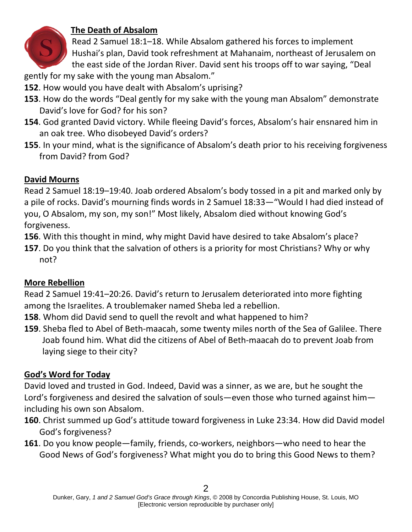

## **The Death of Absalom**

Read 2 Samuel 18:1–18. While Absalom gathered his forces to implement Hushai's plan, David took refreshment at Mahanaim, northeast of Jerusalem on the east side of the Jordan River. David sent his troops off to war saying, "Deal

gently for my sake with the young man Absalom."

- **152**. How would you have dealt with Absalom's uprising?
- **153**. How do the words "Deal gently for my sake with the young man Absalom" demonstrate David's love for God? for his son?
- **154**. God granted David victory. While fleeing David's forces, Absalom's hair ensnared him in an oak tree. Who disobeyed David's orders?
- **155**. In your mind, what is the significance of Absalom's death prior to his receiving forgiveness from David? from God?

#### **David Mourns**

Read 2 Samuel 18:19–19:40. Joab ordered Absalom's body tossed in a pit and marked only by a pile of rocks. David's mourning finds words in 2 Samuel 18:33—"Would I had died instead of you, O Absalom, my son, my son!" Most likely, Absalom died without knowing God's forgiveness.

**156**. With this thought in mind, why might David have desired to take Absalom's place?

**157**. Do you think that the salvation of others is a priority for most Christians? Why or why not?

#### **More Rebellion**

Read 2 Samuel 19:41–20:26. David's return to Jerusalem deteriorated into more fighting among the Israelites. A troublemaker named Sheba led a rebellion.

- **158**. Whom did David send to quell the revolt and what happened to him?
- **159**. Sheba fled to Abel of Beth-maacah, some twenty miles north of the Sea of Galilee. There Joab found him. What did the citizens of Abel of Beth-maacah do to prevent Joab from laying siege to their city?

## **God's Word for Today**

David loved and trusted in God. Indeed, David was a sinner, as we are, but he sought the Lord's forgiveness and desired the salvation of souls—even those who turned against him including his own son Absalom.

- **160**. Christ summed up God's attitude toward forgiveness in Luke 23:34. How did David model God's forgiveness?
- **161**. Do you know people—family, friends, co-workers, neighbors—who need to hear the Good News of God's forgiveness? What might you do to bring this Good News to them?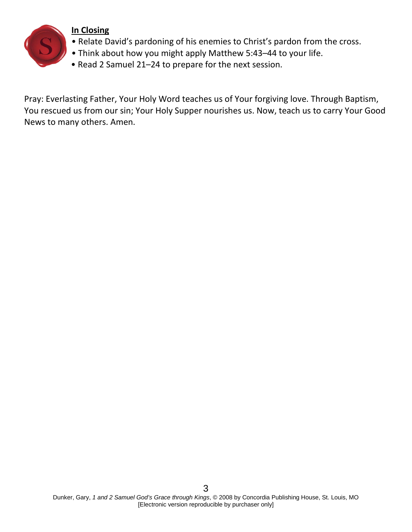

#### **In Closing**

- Relate David's pardoning of his enemies to Christ's pardon from the cross.
- Think about how you might apply Matthew 5:43–44 to your life.
- Read 2 Samuel 21–24 to prepare for the next session.

Pray: Everlasting Father, Your Holy Word teaches us of Your forgiving love. Through Baptism, You rescued us from our sin; Your Holy Supper nourishes us. Now, teach us to carry Your Good News to many others. Amen.